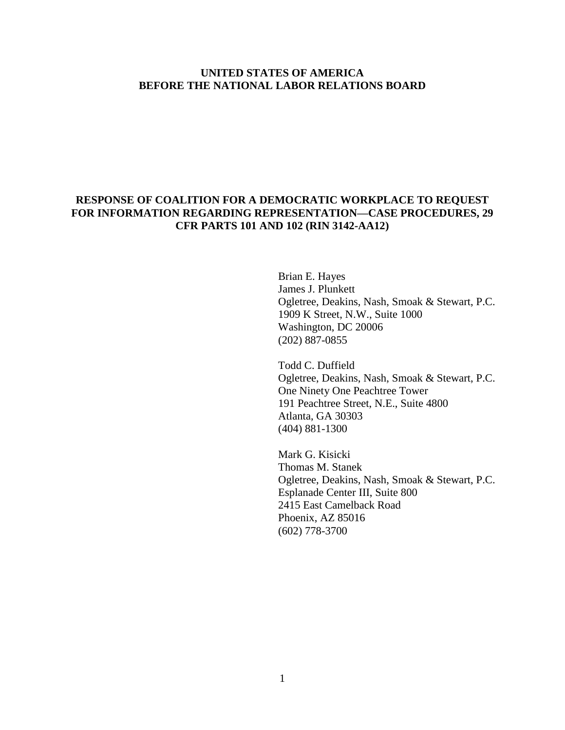### **UNITED STATES OF AMERICA BEFORE THE NATIONAL LABOR RELATIONS BOARD**

## **RESPONSE OF COALITION FOR A DEMOCRATIC WORKPLACE TO REQUEST FOR INFORMATION REGARDING REPRESENTATION—CASE PROCEDURES, 29 CFR PARTS 101 AND 102 (RIN 3142-AA12)**

Brian E. Hayes James J. Plunkett Ogletree, Deakins, Nash, Smoak & Stewart, P.C. 1909 K Street, N.W., Suite 1000 Washington, DC 20006 (202) 887-0855

Todd C. Duffield Ogletree, Deakins, Nash, Smoak & Stewart, P.C. One Ninety One Peachtree Tower 191 Peachtree Street, N.E., Suite 4800 Atlanta, GA 30303 (404) 881-1300

Mark G. Kisicki Thomas M. Stanek Ogletree, Deakins, Nash, Smoak & Stewart, P.C. Esplanade Center III, Suite 800 2415 East Camelback Road Phoenix, AZ 85016 (602) 778-3700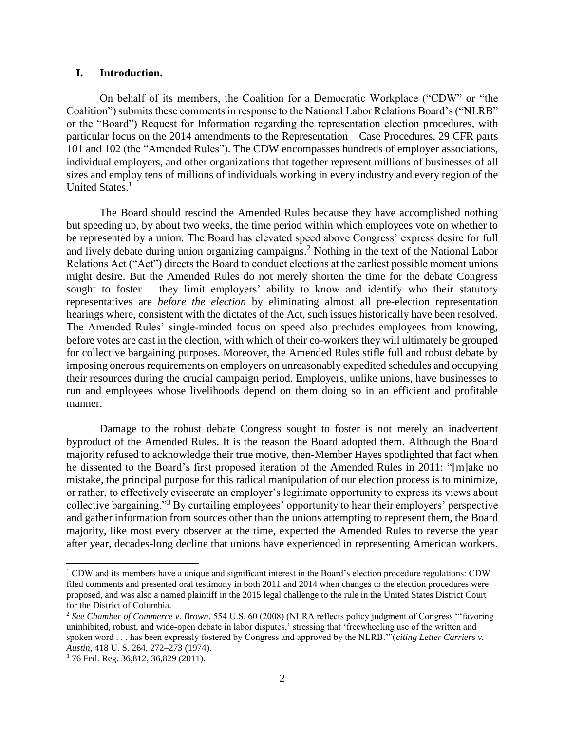#### **I. Introduction.**

On behalf of its members, the Coalition for a Democratic Workplace ("CDW" or "the Coalition") submits these comments in response to the National Labor Relations Board's ("NLRB" or the "Board") Request for Information regarding the representation election procedures, with particular focus on the 2014 amendments to the Representation—Case Procedures, 29 CFR parts 101 and 102 (the "Amended Rules"). The CDW encompasses hundreds of employer associations, individual employers, and other organizations that together represent millions of businesses of all sizes and employ tens of millions of individuals working in every industry and every region of the United States.<sup>1</sup>

The Board should rescind the Amended Rules because they have accomplished nothing but speeding up, by about two weeks, the time period within which employees vote on whether to be represented by a union. The Board has elevated speed above Congress' express desire for full and lively debate during union organizing campaigns.<sup>2</sup> Nothing in the text of the National Labor Relations Act ("Act") directs the Board to conduct elections at the earliest possible moment unions might desire. But the Amended Rules do not merely shorten the time for the debate Congress sought to foster – they limit employers' ability to know and identify who their statutory representatives are *before the election* by eliminating almost all pre-election representation hearings where, consistent with the dictates of the Act, such issues historically have been resolved. The Amended Rules' single-minded focus on speed also precludes employees from knowing, before votes are cast in the election, with which of their co-workers they will ultimately be grouped for collective bargaining purposes. Moreover, the Amended Rules stifle full and robust debate by imposing onerous requirements on employers on unreasonably expedited schedules and occupying their resources during the crucial campaign period. Employers, unlike unions, have businesses to run and employees whose livelihoods depend on them doing so in an efficient and profitable manner.

Damage to the robust debate Congress sought to foster is not merely an inadvertent byproduct of the Amended Rules. It is the reason the Board adopted them. Although the Board majority refused to acknowledge their true motive, then-Member Hayes spotlighted that fact when he dissented to the Board's first proposed iteration of the Amended Rules in 2011: "[m]ake no mistake, the principal purpose for this radical manipulation of our election process is to minimize, or rather, to effectively eviscerate an employer's legitimate opportunity to express its views about collective bargaining."<sup>3</sup> By curtailing employees' opportunity to hear their employers' perspective and gather information from sources other than the unions attempting to represent them, the Board majority, like most every observer at the time, expected the Amended Rules to reverse the year after year, decades-long decline that unions have experienced in representing American workers.

<sup>1</sup> CDW and its members have a unique and significant interest in the Board's election procedure regulations: CDW filed comments and presented oral testimony in both 2011 and 2014 when changes to the election procedures were proposed, and was also a named plaintiff in the 2015 legal challenge to the rule in the United States District Court for the District of Columbia.

<sup>2</sup> *See Chamber of Commerce v. Brown*, 554 U.S. 60 (2008) (NLRA reflects policy judgment of Congress "'favoring uninhibited, robust, and wide-open debate in labor disputes,' stressing that 'freewheeling use of the written and spoken word . . . has been expressly fostered by Congress and approved by the NLRB.'"(*citing Letter Carriers v. Austin*, 418 U. S. 264, 272–273 (1974).

<sup>3</sup> 76 Fed. Reg. 36,812, 36,829 (2011).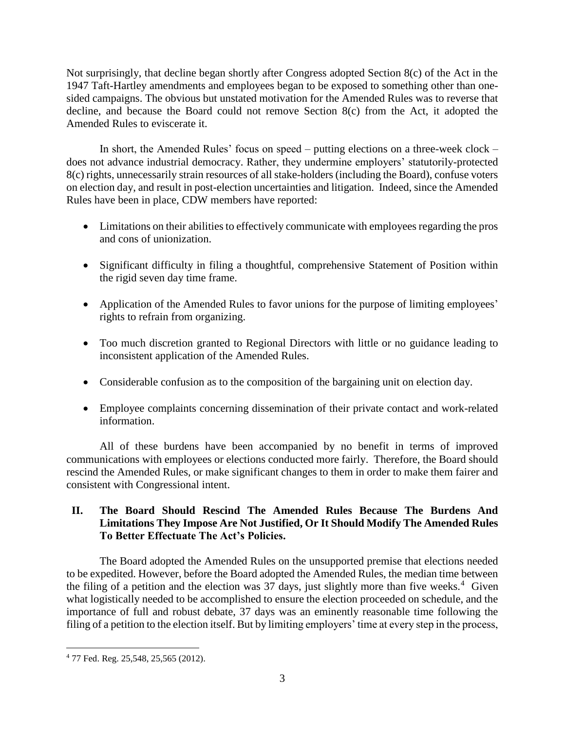Not surprisingly, that decline began shortly after Congress adopted Section 8(c) of the Act in the 1947 Taft-Hartley amendments and employees began to be exposed to something other than onesided campaigns. The obvious but unstated motivation for the Amended Rules was to reverse that decline, and because the Board could not remove Section 8(c) from the Act, it adopted the Amended Rules to eviscerate it.

In short, the Amended Rules' focus on speed – putting elections on a three-week clock – does not advance industrial democracy. Rather, they undermine employers' statutorily-protected 8(c) rights, unnecessarily strain resources of all stake-holders (including the Board), confuse voters on election day, and result in post-election uncertainties and litigation. Indeed, since the Amended Rules have been in place, CDW members have reported:

- Limitations on their abilities to effectively communicate with employees regarding the pros and cons of unionization.
- Significant difficulty in filing a thoughtful, comprehensive Statement of Position within the rigid seven day time frame.
- Application of the Amended Rules to favor unions for the purpose of limiting employees' rights to refrain from organizing.
- Too much discretion granted to Regional Directors with little or no guidance leading to inconsistent application of the Amended Rules.
- Considerable confusion as to the composition of the bargaining unit on election day.
- Employee complaints concerning dissemination of their private contact and work-related information.

All of these burdens have been accompanied by no benefit in terms of improved communications with employees or elections conducted more fairly. Therefore, the Board should rescind the Amended Rules, or make significant changes to them in order to make them fairer and consistent with Congressional intent.

# **II. The Board Should Rescind The Amended Rules Because The Burdens And Limitations They Impose Are Not Justified, Or It Should Modify The Amended Rules To Better Effectuate The Act's Policies.**

The Board adopted the Amended Rules on the unsupported premise that elections needed to be expedited. However, before the Board adopted the Amended Rules, the median time between the filing of a petition and the election was 37 days, just slightly more than five weeks.<sup>4</sup> Given what logistically needed to be accomplished to ensure the election proceeded on schedule, and the importance of full and robust debate, 37 days was an eminently reasonable time following the filing of a petition to the election itself. But by limiting employers' time at every step in the process,

 $\overline{\phantom{a}}$ <sup>4</sup> 77 Fed. Reg. 25,548, 25,565 (2012).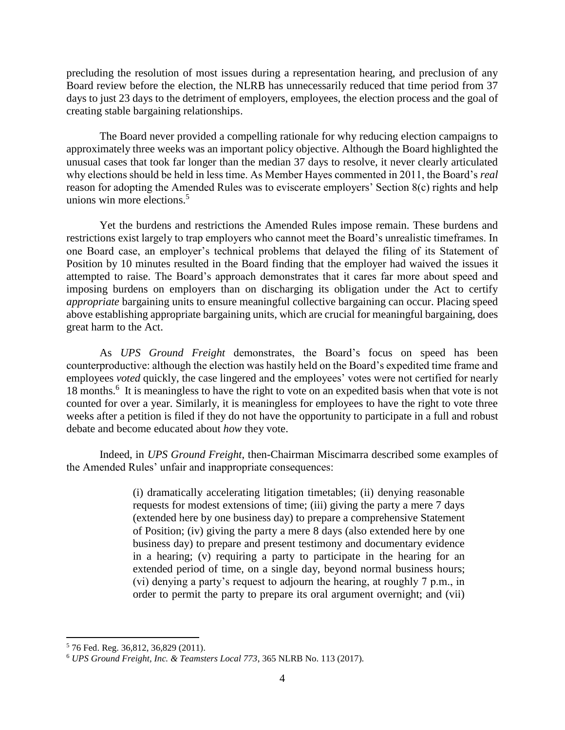precluding the resolution of most issues during a representation hearing, and preclusion of any Board review before the election, the NLRB has unnecessarily reduced that time period from 37 days to just 23 days to the detriment of employers, employees, the election process and the goal of creating stable bargaining relationships.

The Board never provided a compelling rationale for why reducing election campaigns to approximately three weeks was an important policy objective. Although the Board highlighted the unusual cases that took far longer than the median 37 days to resolve, it never clearly articulated why elections should be held in less time. As Member Hayes commented in 2011, the Board's *real* reason for adopting the Amended Rules was to eviscerate employers' Section 8(c) rights and help unions win more elections. $5$ 

Yet the burdens and restrictions the Amended Rules impose remain. These burdens and restrictions exist largely to trap employers who cannot meet the Board's unrealistic timeframes. In one Board case, an employer's technical problems that delayed the filing of its Statement of Position by 10 minutes resulted in the Board finding that the employer had waived the issues it attempted to raise. The Board's approach demonstrates that it cares far more about speed and imposing burdens on employers than on discharging its obligation under the Act to certify *appropriate* bargaining units to ensure meaningful collective bargaining can occur. Placing speed above establishing appropriate bargaining units, which are crucial for meaningful bargaining, does great harm to the Act.

As *UPS Ground Freight* demonstrates, the Board's focus on speed has been counterproductive: although the election was hastily held on the Board's expedited time frame and employees *voted* quickly, the case lingered and the employees' votes were not certified for nearly 18 months.<sup>6</sup> It is meaningless to have the right to vote on an expedited basis when that vote is not counted for over a year. Similarly, it is meaningless for employees to have the right to vote three weeks after a petition is filed if they do not have the opportunity to participate in a full and robust debate and become educated about *how* they vote.

Indeed, in *UPS Ground Freight*, then-Chairman Miscimarra described some examples of the Amended Rules' unfair and inappropriate consequences:

> (i) dramatically accelerating litigation timetables; (ii) denying reasonable requests for modest extensions of time; (iii) giving the party a mere 7 days (extended here by one business day) to prepare a comprehensive Statement of Position; (iv) giving the party a mere 8 days (also extended here by one business day) to prepare and present testimony and documentary evidence in a hearing; (v) requiring a party to participate in the hearing for an extended period of time, on a single day, beyond normal business hours; (vi) denying a party's request to adjourn the hearing, at roughly 7 p.m., in order to permit the party to prepare its oral argument overnight; and (vii)

<sup>5</sup> 76 Fed. Reg. 36,812, 36,829 (2011).

<sup>6</sup> *UPS Ground Freight, Inc. & Teamsters Local 773*, 365 NLRB No. 113 (2017).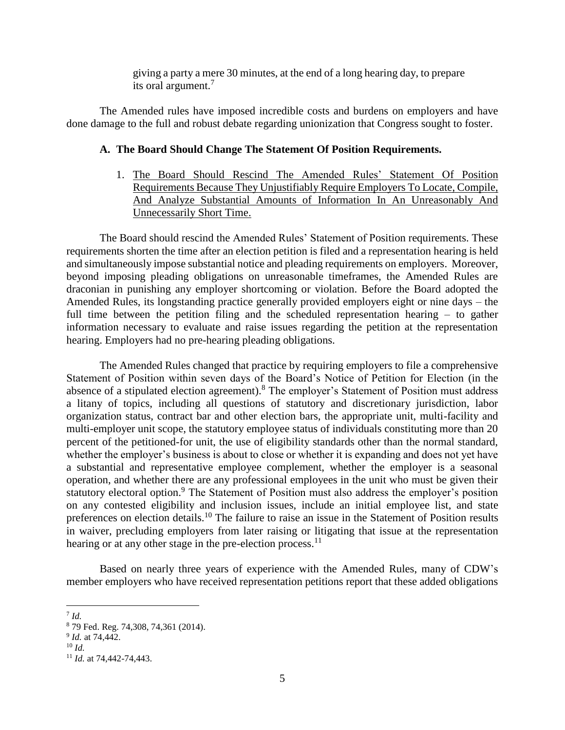giving a party a mere 30 minutes, at the end of a long hearing day, to prepare its oral argument.<sup>7</sup>

The Amended rules have imposed incredible costs and burdens on employers and have done damage to the full and robust debate regarding unionization that Congress sought to foster.

#### **A. The Board Should Change The Statement Of Position Requirements.**

1. The Board Should Rescind The Amended Rules' Statement Of Position Requirements Because They Unjustifiably Require Employers To Locate, Compile, And Analyze Substantial Amounts of Information In An Unreasonably And Unnecessarily Short Time.

The Board should rescind the Amended Rules' Statement of Position requirements. These requirements shorten the time after an election petition is filed and a representation hearing is held and simultaneously impose substantial notice and pleading requirements on employers. Moreover, beyond imposing pleading obligations on unreasonable timeframes, the Amended Rules are draconian in punishing any employer shortcoming or violation. Before the Board adopted the Amended Rules, its longstanding practice generally provided employers eight or nine days – the full time between the petition filing and the scheduled representation hearing – to gather information necessary to evaluate and raise issues regarding the petition at the representation hearing. Employers had no pre-hearing pleading obligations.

The Amended Rules changed that practice by requiring employers to file a comprehensive Statement of Position within seven days of the Board's Notice of Petition for Election (in the absence of a stipulated election agreement).<sup>8</sup> The employer's Statement of Position must address a litany of topics, including all questions of statutory and discretionary jurisdiction, labor organization status, contract bar and other election bars, the appropriate unit, multi-facility and multi-employer unit scope, the statutory employee status of individuals constituting more than 20 percent of the petitioned-for unit, the use of eligibility standards other than the normal standard, whether the employer's business is about to close or whether it is expanding and does not yet have a substantial and representative employee complement, whether the employer is a seasonal operation, and whether there are any professional employees in the unit who must be given their statutory electoral option.<sup>9</sup> The Statement of Position must also address the employer's position on any contested eligibility and inclusion issues, include an initial employee list, and state preferences on election details.<sup>10</sup> The failure to raise an issue in the Statement of Position results in waiver, precluding employers from later raising or litigating that issue at the representation hearing or at any other stage in the pre-election process. $^{11}$ 

Based on nearly three years of experience with the Amended Rules, many of CDW's member employers who have received representation petitions report that these added obligations

l

<sup>7</sup> *Id.*

<sup>8</sup> 79 Fed. Reg. 74,308, 74,361 (2014).

<sup>9</sup> *Id.* at 74,442.

<sup>10</sup> *Id.*

<sup>11</sup> *Id.* at 74,442-74,443.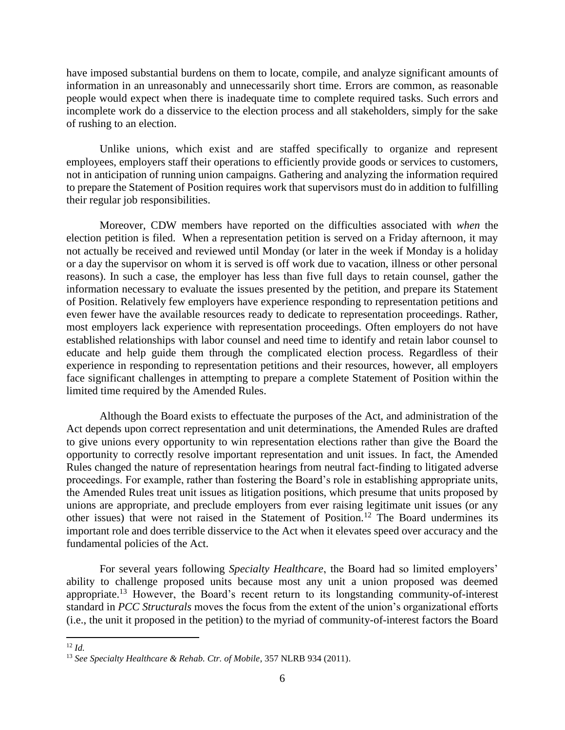have imposed substantial burdens on them to locate, compile, and analyze significant amounts of information in an unreasonably and unnecessarily short time. Errors are common, as reasonable people would expect when there is inadequate time to complete required tasks. Such errors and incomplete work do a disservice to the election process and all stakeholders, simply for the sake of rushing to an election.

Unlike unions, which exist and are staffed specifically to organize and represent employees, employers staff their operations to efficiently provide goods or services to customers, not in anticipation of running union campaigns. Gathering and analyzing the information required to prepare the Statement of Position requires work that supervisors must do in addition to fulfilling their regular job responsibilities.

Moreover, CDW members have reported on the difficulties associated with *when* the election petition is filed. When a representation petition is served on a Friday afternoon, it may not actually be received and reviewed until Monday (or later in the week if Monday is a holiday or a day the supervisor on whom it is served is off work due to vacation, illness or other personal reasons). In such a case, the employer has less than five full days to retain counsel, gather the information necessary to evaluate the issues presented by the petition, and prepare its Statement of Position. Relatively few employers have experience responding to representation petitions and even fewer have the available resources ready to dedicate to representation proceedings. Rather, most employers lack experience with representation proceedings. Often employers do not have established relationships with labor counsel and need time to identify and retain labor counsel to educate and help guide them through the complicated election process. Regardless of their experience in responding to representation petitions and their resources, however, all employers face significant challenges in attempting to prepare a complete Statement of Position within the limited time required by the Amended Rules.

Although the Board exists to effectuate the purposes of the Act, and administration of the Act depends upon correct representation and unit determinations, the Amended Rules are drafted to give unions every opportunity to win representation elections rather than give the Board the opportunity to correctly resolve important representation and unit issues. In fact, the Amended Rules changed the nature of representation hearings from neutral fact-finding to litigated adverse proceedings. For example, rather than fostering the Board's role in establishing appropriate units, the Amended Rules treat unit issues as litigation positions, which presume that units proposed by unions are appropriate, and preclude employers from ever raising legitimate unit issues (or any other issues) that were not raised in the Statement of Position.<sup>12</sup> The Board undermines its important role and does terrible disservice to the Act when it elevates speed over accuracy and the fundamental policies of the Act.

For several years following *Specialty Healthcare*, the Board had so limited employers' ability to challenge proposed units because most any unit a union proposed was deemed appropriate.<sup>13</sup> However, the Board's recent return to its longstanding community-of-interest standard in *PCC Structurals* moves the focus from the extent of the union's organizational efforts (i.e., the unit it proposed in the petition) to the myriad of community-of-interest factors the Board

<sup>12</sup> *Id.*

<sup>13</sup> *See Specialty Healthcare & Rehab. Ctr. of Mobile*, 357 NLRB 934 (2011).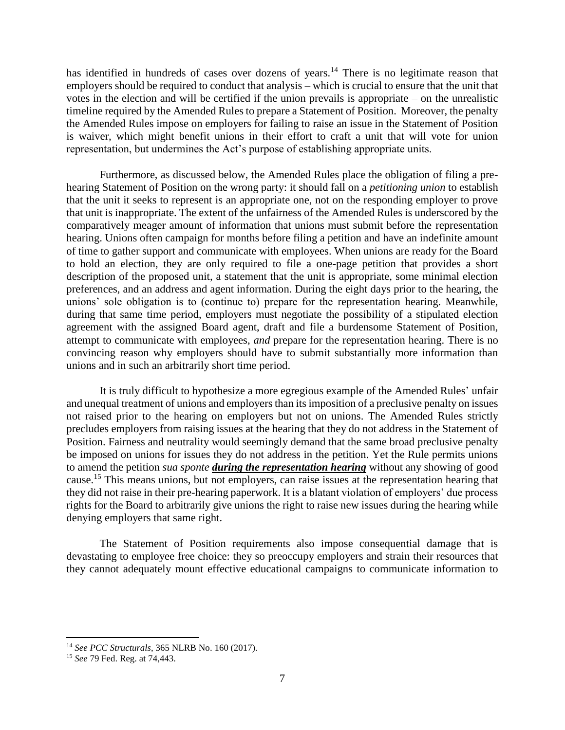has identified in hundreds of cases over dozens of years.<sup>14</sup> There is no legitimate reason that employers should be required to conduct that analysis – which is crucial to ensure that the unit that votes in the election and will be certified if the union prevails is appropriate – on the unrealistic timeline required by the Amended Rules to prepare a Statement of Position. Moreover, the penalty the Amended Rules impose on employers for failing to raise an issue in the Statement of Position is waiver, which might benefit unions in their effort to craft a unit that will vote for union representation, but undermines the Act's purpose of establishing appropriate units.

Furthermore, as discussed below, the Amended Rules place the obligation of filing a prehearing Statement of Position on the wrong party: it should fall on a *petitioning union* to establish that the unit it seeks to represent is an appropriate one, not on the responding employer to prove that unit is inappropriate. The extent of the unfairness of the Amended Rules is underscored by the comparatively meager amount of information that unions must submit before the representation hearing. Unions often campaign for months before filing a petition and have an indefinite amount of time to gather support and communicate with employees. When unions are ready for the Board to hold an election, they are only required to file a one-page petition that provides a short description of the proposed unit, a statement that the unit is appropriate, some minimal election preferences, and an address and agent information. During the eight days prior to the hearing, the unions' sole obligation is to (continue to) prepare for the representation hearing. Meanwhile, during that same time period, employers must negotiate the possibility of a stipulated election agreement with the assigned Board agent, draft and file a burdensome Statement of Position, attempt to communicate with employees, *and* prepare for the representation hearing. There is no convincing reason why employers should have to submit substantially more information than unions and in such an arbitrarily short time period.

It is truly difficult to hypothesize a more egregious example of the Amended Rules' unfair and unequal treatment of unions and employers than its imposition of a preclusive penalty on issues not raised prior to the hearing on employers but not on unions. The Amended Rules strictly precludes employers from raising issues at the hearing that they do not address in the Statement of Position. Fairness and neutrality would seemingly demand that the same broad preclusive penalty be imposed on unions for issues they do not address in the petition. Yet the Rule permits unions to amend the petition *sua sponte during the representation hearing* without any showing of good cause.<sup>15</sup> This means unions, but not employers, can raise issues at the representation hearing that they did not raise in their pre-hearing paperwork. It is a blatant violation of employers' due process rights for the Board to arbitrarily give unions the right to raise new issues during the hearing while denying employers that same right.

The Statement of Position requirements also impose consequential damage that is devastating to employee free choice: they so preoccupy employers and strain their resources that they cannot adequately mount effective educational campaigns to communicate information to

<sup>14</sup> *See PCC Structurals*, 365 NLRB No. 160 (2017).

<sup>15</sup> *See* 79 Fed. Reg. at 74,443.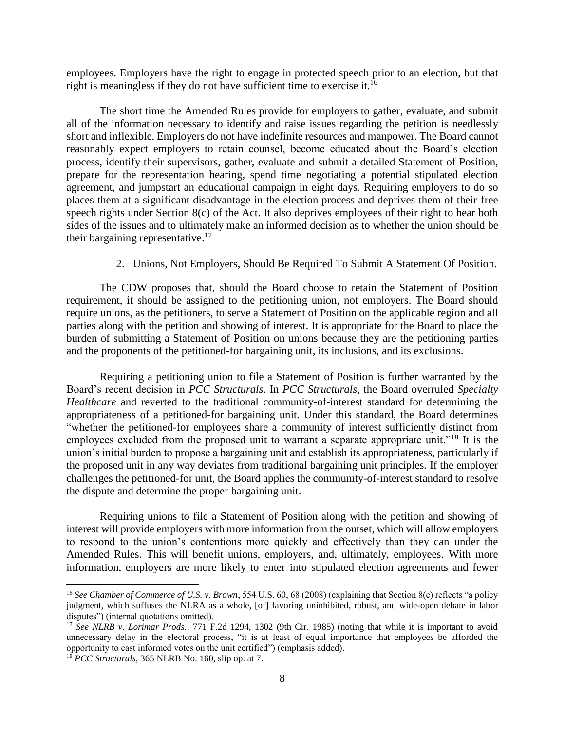employees. Employers have the right to engage in protected speech prior to an election, but that right is meaningless if they do not have sufficient time to exercise it.<sup>16</sup>

The short time the Amended Rules provide for employers to gather, evaluate, and submit all of the information necessary to identify and raise issues regarding the petition is needlessly short and inflexible. Employers do not have indefinite resources and manpower. The Board cannot reasonably expect employers to retain counsel, become educated about the Board's election process, identify their supervisors, gather, evaluate and submit a detailed Statement of Position, prepare for the representation hearing, spend time negotiating a potential stipulated election agreement, and jumpstart an educational campaign in eight days. Requiring employers to do so places them at a significant disadvantage in the election process and deprives them of their free speech rights under Section 8(c) of the Act. It also deprives employees of their right to hear both sides of the issues and to ultimately make an informed decision as to whether the union should be their bargaining representative.<sup>17</sup>

#### 2. Unions, Not Employers, Should Be Required To Submit A Statement Of Position.

The CDW proposes that, should the Board choose to retain the Statement of Position requirement, it should be assigned to the petitioning union, not employers. The Board should require unions, as the petitioners, to serve a Statement of Position on the applicable region and all parties along with the petition and showing of interest. It is appropriate for the Board to place the burden of submitting a Statement of Position on unions because they are the petitioning parties and the proponents of the petitioned-for bargaining unit, its inclusions, and its exclusions.

Requiring a petitioning union to file a Statement of Position is further warranted by the Board's recent decision in *PCC Structurals*. In *PCC Structurals*, the Board overruled *Specialty Healthcare* and reverted to the traditional community-of-interest standard for determining the appropriateness of a petitioned-for bargaining unit. Under this standard, the Board determines "whether the petitioned-for employees share a community of interest sufficiently distinct from employees excluded from the proposed unit to warrant a separate appropriate unit."<sup>18</sup> It is the union's initial burden to propose a bargaining unit and establish its appropriateness, particularly if the proposed unit in any way deviates from traditional bargaining unit principles. If the employer challenges the petitioned-for unit, the Board applies the community-of-interest standard to resolve the dispute and determine the proper bargaining unit.

Requiring unions to file a Statement of Position along with the petition and showing of interest will provide employers with more information from the outset, which will allow employers to respond to the union's contentions more quickly and effectively than they can under the Amended Rules. This will benefit unions, employers, and, ultimately, employees. With more information, employers are more likely to enter into stipulated election agreements and fewer

<sup>16</sup> *See Chamber of Commerce of U.S. v. Brown*, 554 U.S. 60, 68 (2008) (explaining that Section 8(c) reflects "a policy judgment, which suffuses the NLRA as a whole, [of] favoring uninhibited, robust, and wide-open debate in labor disputes") (internal quotations omitted).

<sup>17</sup> *See NLRB v. Lorimar Prods.*, 771 F.2d 1294, 1302 (9th Cir. 1985) (noting that while it is important to avoid unnecessary delay in the electoral process, "it is at least of equal importance that employees be afforded the opportunity to cast informed votes on the unit certified") (emphasis added).

<sup>18</sup> *PCC Structurals*, 365 NLRB No. 160, slip op. at 7.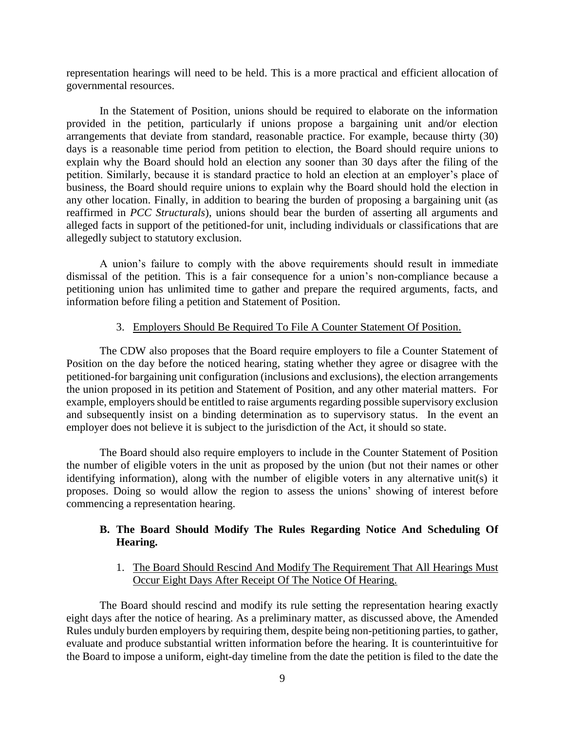representation hearings will need to be held. This is a more practical and efficient allocation of governmental resources.

In the Statement of Position, unions should be required to elaborate on the information provided in the petition, particularly if unions propose a bargaining unit and/or election arrangements that deviate from standard, reasonable practice. For example, because thirty (30) days is a reasonable time period from petition to election, the Board should require unions to explain why the Board should hold an election any sooner than 30 days after the filing of the petition. Similarly, because it is standard practice to hold an election at an employer's place of business, the Board should require unions to explain why the Board should hold the election in any other location. Finally, in addition to bearing the burden of proposing a bargaining unit (as reaffirmed in *PCC Structurals*), unions should bear the burden of asserting all arguments and alleged facts in support of the petitioned-for unit, including individuals or classifications that are allegedly subject to statutory exclusion.

A union's failure to comply with the above requirements should result in immediate dismissal of the petition. This is a fair consequence for a union's non-compliance because a petitioning union has unlimited time to gather and prepare the required arguments, facts, and information before filing a petition and Statement of Position.

#### 3. Employers Should Be Required To File A Counter Statement Of Position.

The CDW also proposes that the Board require employers to file a Counter Statement of Position on the day before the noticed hearing, stating whether they agree or disagree with the petitioned-for bargaining unit configuration (inclusions and exclusions), the election arrangements the union proposed in its petition and Statement of Position, and any other material matters. For example, employers should be entitled to raise arguments regarding possible supervisory exclusion and subsequently insist on a binding determination as to supervisory status. In the event an employer does not believe it is subject to the jurisdiction of the Act, it should so state.

The Board should also require employers to include in the Counter Statement of Position the number of eligible voters in the unit as proposed by the union (but not their names or other identifying information), along with the number of eligible voters in any alternative unit(s) it proposes. Doing so would allow the region to assess the unions' showing of interest before commencing a representation hearing.

## **B. The Board Should Modify The Rules Regarding Notice And Scheduling Of Hearing.**

#### 1. The Board Should Rescind And Modify The Requirement That All Hearings Must Occur Eight Days After Receipt Of The Notice Of Hearing.

The Board should rescind and modify its rule setting the representation hearing exactly eight days after the notice of hearing. As a preliminary matter, as discussed above, the Amended Rules unduly burden employers by requiring them, despite being non-petitioning parties, to gather, evaluate and produce substantial written information before the hearing. It is counterintuitive for the Board to impose a uniform, eight-day timeline from the date the petition is filed to the date the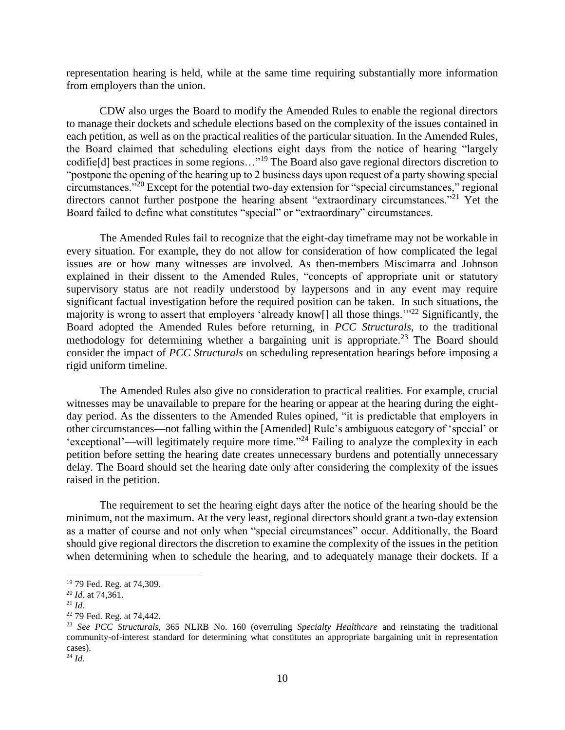representation hearing is held, while at the same time requiring substantially more information from employers than the union.

CDW also urges the Board to modify the Amended Rules to enable the regional directors to manage their dockets and schedule elections based on the complexity of the issues contained in each petition, as well as on the practical realities of the particular situation. In the Amended Rules, the Board claimed that scheduling elections eight days from the notice of hearing "largely codifie[d] best practices in some regions…"<sup>19</sup> The Board also gave regional directors discretion to "postpone the opening of the hearing up to 2 business days upon request of a party showing special circumstances."<sup>20</sup> Except for the potential two-day extension for "special circumstances," regional directors cannot further postpone the hearing absent "extraordinary circumstances."<sup>21</sup> Yet the Board failed to define what constitutes "special" or "extraordinary" circumstances.

The Amended Rules fail to recognize that the eight-day timeframe may not be workable in every situation. For example, they do not allow for consideration of how complicated the legal issues are or how many witnesses are involved. As then-members Miscimarra and Johnson explained in their dissent to the Amended Rules, "concepts of appropriate unit or statutory supervisory status are not readily understood by laypersons and in any event may require significant factual investigation before the required position can be taken. In such situations, the majority is wrong to assert that employers 'already know[] all those things."<sup>22</sup> Significantly, the Board adopted the Amended Rules before returning, in *PCC Structurals*, to the traditional methodology for determining whether a bargaining unit is appropriate.<sup>23</sup> The Board should consider the impact of *PCC Structurals* on scheduling representation hearings before imposing a rigid uniform timeline.

The Amended Rules also give no consideration to practical realities. For example, crucial witnesses may be unavailable to prepare for the hearing or appear at the hearing during the eightday period. As the dissenters to the Amended Rules opined, "it is predictable that employers in other circumstances—not falling within the [Amended] Rule's ambiguous category of 'special' or 'exceptional'—will legitimately require more time."<sup>24</sup> Failing to analyze the complexity in each petition before setting the hearing date creates unnecessary burdens and potentially unnecessary delay. The Board should set the hearing date only after considering the complexity of the issues raised in the petition.

The requirement to set the hearing eight days after the notice of the hearing should be the minimum, not the maximum. At the very least, regional directors should grant a two-day extension as a matter of course and not only when "special circumstances" occur. Additionally, the Board should give regional directors the discretion to examine the complexity of the issues in the petition when determining when to schedule the hearing, and to adequately manage their dockets. If a

<sup>19</sup> 79 Fed. Reg. at 74,309.

<sup>20</sup> *Id.* at 74,361.

<sup>21</sup> *Id.*

<sup>22</sup> 79 Fed. Reg. at 74,442.

<sup>23</sup> *See PCC Structurals*, 365 NLRB No. 160 (overruling *Specialty Healthcare* and reinstating the traditional community-of-interest standard for determining what constitutes an appropriate bargaining unit in representation cases).

<sup>24</sup> *Id.*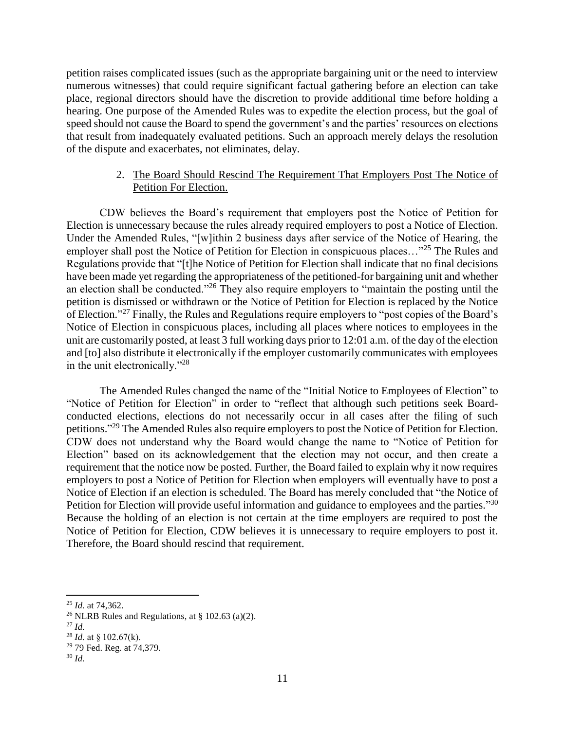petition raises complicated issues (such as the appropriate bargaining unit or the need to interview numerous witnesses) that could require significant factual gathering before an election can take place, regional directors should have the discretion to provide additional time before holding a hearing. One purpose of the Amended Rules was to expedite the election process, but the goal of speed should not cause the Board to spend the government's and the parties' resources on elections that result from inadequately evaluated petitions. Such an approach merely delays the resolution of the dispute and exacerbates, not eliminates, delay.

## 2. The Board Should Rescind The Requirement That Employers Post The Notice of Petition For Election.

CDW believes the Board's requirement that employers post the Notice of Petition for Election is unnecessary because the rules already required employers to post a Notice of Election. Under the Amended Rules, "[w]ithin 2 business days after service of the Notice of Hearing, the employer shall post the Notice of Petition for Election in conspicuous places…"<sup>25</sup> The Rules and Regulations provide that "[t]he Notice of Petition for Election shall indicate that no final decisions have been made yet regarding the appropriateness of the petitioned-for bargaining unit and whether an election shall be conducted."<sup>26</sup> They also require employers to "maintain the posting until the petition is dismissed or withdrawn or the Notice of Petition for Election is replaced by the Notice of Election."<sup>27</sup> Finally, the Rules and Regulations require employers to "post copies of the Board's Notice of Election in conspicuous places, including all places where notices to employees in the unit are customarily posted, at least 3 full working days prior to 12:01 a.m. of the day of the election and [to] also distribute it electronically if the employer customarily communicates with employees in the unit electronically."<sup>28</sup>

The Amended Rules changed the name of the "Initial Notice to Employees of Election" to "Notice of Petition for Election" in order to "reflect that although such petitions seek Boardconducted elections, elections do not necessarily occur in all cases after the filing of such petitions."<sup>29</sup> The Amended Rules also require employers to post the Notice of Petition for Election. CDW does not understand why the Board would change the name to "Notice of Petition for Election" based on its acknowledgement that the election may not occur, and then create a requirement that the notice now be posted. Further, the Board failed to explain why it now requires employers to post a Notice of Petition for Election when employers will eventually have to post a Notice of Election if an election is scheduled. The Board has merely concluded that "the Notice of Petition for Election will provide useful information and guidance to employees and the parties."<sup>30</sup> Because the holding of an election is not certain at the time employers are required to post the Notice of Petition for Election, CDW believes it is unnecessary to require employers to post it. Therefore, the Board should rescind that requirement.

- <sup>26</sup> NLRB Rules and Regulations, at  $\S$  102.63 (a)(2).
- <sup>27</sup> *Id.*
- <sup>28</sup> *Id.* at § 102.67(k).

 $\overline{\phantom{a}}$ <sup>25</sup> *Id.* at 74,362.

<sup>29</sup> 79 Fed. Reg. at 74,379.

<sup>30</sup> *Id.*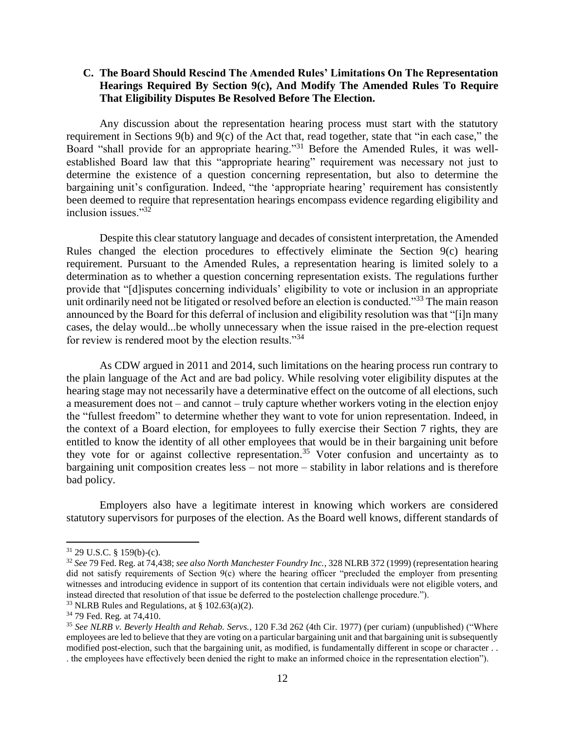### **C. The Board Should Rescind The Amended Rules' Limitations On The Representation Hearings Required By Section 9(c), And Modify The Amended Rules To Require That Eligibility Disputes Be Resolved Before The Election.**

Any discussion about the representation hearing process must start with the statutory requirement in Sections 9(b) and 9(c) of the Act that, read together, state that "in each case," the Board "shall provide for an appropriate hearing."<sup>31</sup> Before the Amended Rules, it was wellestablished Board law that this "appropriate hearing" requirement was necessary not just to determine the existence of a question concerning representation, but also to determine the bargaining unit's configuration. Indeed, "the 'appropriate hearing' requirement has consistently been deemed to require that representation hearings encompass evidence regarding eligibility and inclusion issues."<sup>32</sup>

Despite this clear statutory language and decades of consistent interpretation, the Amended Rules changed the election procedures to effectively eliminate the Section 9(c) hearing requirement. Pursuant to the Amended Rules, a representation hearing is limited solely to a determination as to whether a question concerning representation exists. The regulations further provide that "[d]isputes concerning individuals' eligibility to vote or inclusion in an appropriate unit ordinarily need not be litigated or resolved before an election is conducted."<sup>33</sup> The main reason announced by the Board for this deferral of inclusion and eligibility resolution was that "[i]n many cases, the delay would...be wholly unnecessary when the issue raised in the pre-election request for review is rendered moot by the election results."<sup>34</sup>

As CDW argued in 2011 and 2014, such limitations on the hearing process run contrary to the plain language of the Act and are bad policy. While resolving voter eligibility disputes at the hearing stage may not necessarily have a determinative effect on the outcome of all elections, such a measurement does not – and cannot – truly capture whether workers voting in the election enjoy the "fullest freedom" to determine whether they want to vote for union representation. Indeed, in the context of a Board election, for employees to fully exercise their Section 7 rights, they are entitled to know the identity of all other employees that would be in their bargaining unit before they vote for or against collective representation.<sup>35</sup> Voter confusion and uncertainty as to bargaining unit composition creates less – not more – stability in labor relations and is therefore bad policy.

Employers also have a legitimate interest in knowing which workers are considered statutory supervisors for purposes of the election. As the Board well knows, different standards of

l

<sup>31</sup> 29 U.S.C. § 159(b)-(c).

<sup>32</sup> *See* 79 Fed. Reg. at 74,438; *see also North Manchester Foundry Inc.*, 328 NLRB 372 (1999) (representation hearing did not satisfy requirements of Section 9(c) where the hearing officer "precluded the employer from presenting witnesses and introducing evidence in support of its contention that certain individuals were not eligible voters, and instead directed that resolution of that issue be deferred to the postelection challenge procedure.").

<sup>&</sup>lt;sup>33</sup> NLRB Rules and Regulations, at  $\S$  102.63(a)(2).

<sup>34</sup> 79 Fed. Reg. at 74,410.

<sup>35</sup> *See NLRB v. Beverly Health and Rehab. Servs.*, 120 F.3d 262 (4th Cir. 1977) (per curiam) (unpublished) ("Where employees are led to believe that they are voting on a particular bargaining unit and that bargaining unit is subsequently modified post-election, such that the bargaining unit, as modified, is fundamentally different in scope or character . . . the employees have effectively been denied the right to make an informed choice in the representation election").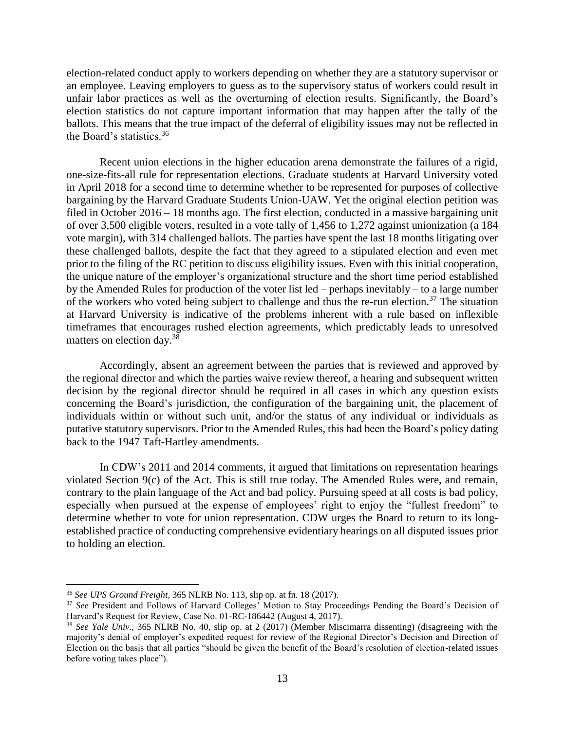election-related conduct apply to workers depending on whether they are a statutory supervisor or an employee. Leaving employers to guess as to the supervisory status of workers could result in unfair labor practices as well as the overturning of election results. Significantly, the Board's election statistics do not capture important information that may happen after the tally of the ballots. This means that the true impact of the deferral of eligibility issues may not be reflected in the Board's statistics.<sup>36</sup>

Recent union elections in the higher education arena demonstrate the failures of a rigid, one-size-fits-all rule for representation elections. Graduate students at Harvard University voted in April 2018 for a second time to determine whether to be represented for purposes of collective bargaining by the Harvard Graduate Students Union-UAW. Yet the original election petition was filed in October 2016 – 18 months ago. The first election, conducted in a massive bargaining unit of over 3,500 eligible voters, resulted in a vote tally of 1,456 to 1,272 against unionization (a 184 vote margin), with 314 challenged ballots. The parties have spent the last 18 months litigating over these challenged ballots, despite the fact that they agreed to a stipulated election and even met prior to the filing of the RC petition to discuss eligibility issues. Even with this initial cooperation, the unique nature of the employer's organizational structure and the short time period established by the Amended Rules for production of the voter list led – perhaps inevitably – to a large number of the workers who voted being subject to challenge and thus the re-run election.<sup>37</sup> The situation at Harvard University is indicative of the problems inherent with a rule based on inflexible timeframes that encourages rushed election agreements, which predictably leads to unresolved matters on election day.<sup>38</sup>

Accordingly, absent an agreement between the parties that is reviewed and approved by the regional director and which the parties waive review thereof, a hearing and subsequent written decision by the regional director should be required in all cases in which any question exists concerning the Board's jurisdiction, the configuration of the bargaining unit, the placement of individuals within or without such unit, and/or the status of any individual or individuals as putative statutory supervisors. Prior to the Amended Rules, this had been the Board's policy dating back to the 1947 Taft-Hartley amendments.

In CDW's 2011 and 2014 comments, it argued that limitations on representation hearings violated Section 9(c) of the Act. This is still true today. The Amended Rules were, and remain, contrary to the plain language of the Act and bad policy. Pursuing speed at all costs is bad policy, especially when pursued at the expense of employees' right to enjoy the "fullest freedom" to determine whether to vote for union representation. CDW urges the Board to return to its longestablished practice of conducting comprehensive evidentiary hearings on all disputed issues prior to holding an election.

<sup>36</sup> *See UPS Ground Freight*, 365 NLRB No. 113, slip op. at fn. 18 (2017).

<sup>37</sup> *See* President and Follows of Harvard Colleges' Motion to Stay Proceedings Pending the Board's Decision of Harvard's Request for Review, Case No. 01-RC-186442 (August 4, 2017).

<sup>38</sup> *See Yale Univ.*, 365 NLRB No. 40, slip op. at 2 (2017) (Member Miscimarra dissenting) (disagreeing with the majority's denial of employer's expedited request for review of the Regional Director's Decision and Direction of Election on the basis that all parties "should be given the benefit of the Board's resolution of election-related issues before voting takes place").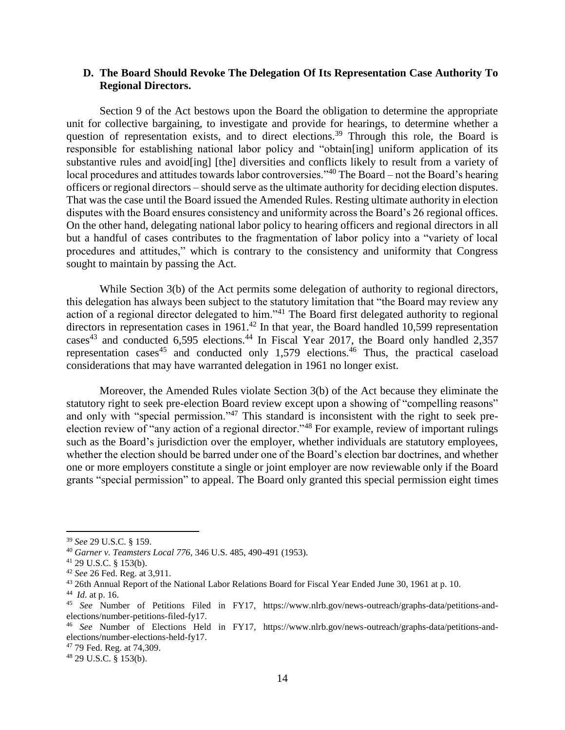### **D. The Board Should Revoke The Delegation Of Its Representation Case Authority To Regional Directors.**

Section 9 of the Act bestows upon the Board the obligation to determine the appropriate unit for collective bargaining, to investigate and provide for hearings, to determine whether a question of representation exists, and to direct elections.<sup>39</sup> Through this role, the Board is responsible for establishing national labor policy and "obtain[ing] uniform application of its substantive rules and avoid[ing] [the] diversities and conflicts likely to result from a variety of local procedures and attitudes towards labor controversies."<sup>40</sup> The Board – not the Board's hearing officers or regional directors – should serve as the ultimate authority for deciding election disputes. That was the case until the Board issued the Amended Rules. Resting ultimate authority in election disputes with the Board ensures consistency and uniformity across the Board's 26 regional offices. On the other hand, delegating national labor policy to hearing officers and regional directors in all but a handful of cases contributes to the fragmentation of labor policy into a "variety of local procedures and attitudes," which is contrary to the consistency and uniformity that Congress sought to maintain by passing the Act.

While Section 3(b) of the Act permits some delegation of authority to regional directors, this delegation has always been subject to the statutory limitation that "the Board may review any action of a regional director delegated to him."<sup>41</sup> The Board first delegated authority to regional directors in representation cases in 1961.<sup>42</sup> In that year, the Board handled 10,599 representation cases<sup>43</sup> and conducted 6,595 elections.<sup>44</sup> In Fiscal Year 2017, the Board only handled 2,357 representation cases<sup>45</sup> and conducted only 1,579 elections.<sup>46</sup> Thus, the practical caseload considerations that may have warranted delegation in 1961 no longer exist.

Moreover, the Amended Rules violate Section 3(b) of the Act because they eliminate the statutory right to seek pre-election Board review except upon a showing of "compelling reasons" and only with "special permission."<sup>47</sup> This standard is inconsistent with the right to seek preelection review of "any action of a regional director."<sup>48</sup> For example, review of important rulings such as the Board's jurisdiction over the employer, whether individuals are statutory employees, whether the election should be barred under one of the Board's election bar doctrines, and whether one or more employers constitute a single or joint employer are now reviewable only if the Board grants "special permission" to appeal. The Board only granted this special permission eight times

 $\overline{\phantom{a}}$ 

<sup>47</sup> 79 Fed. Reg. at 74,309.

<sup>39</sup> *See* 29 U.S.C. § 159.

<sup>40</sup> *Garner v. Teamsters Local 776*, 346 U.S. 485, 490-491 (1953).

<sup>41</sup> 29 U.S.C. § 153(b).

<sup>42</sup> *See* 26 Fed. Reg. at 3,911.

<sup>43</sup> 26th Annual Report of the National Labor Relations Board for Fiscal Year Ended June 30, 1961 at p. 10.

<sup>44</sup> *Id*. at p. 16.

<sup>45</sup> *See* Number of Petitions Filed in FY17, https://www.nlrb.gov/news-outreach/graphs-data/petitions-andelections/number-petitions-filed-fy17.

<sup>46</sup> *See* Number of Elections Held in FY17, https://www.nlrb.gov/news-outreach/graphs-data/petitions-andelections/number-elections-held-fy17.

<sup>48</sup> 29 U.S.C. § 153(b).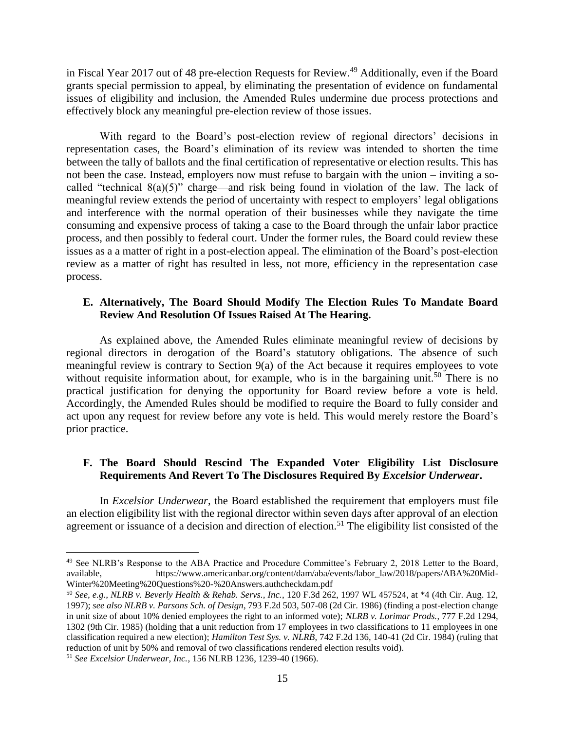in Fiscal Year 2017 out of 48 pre-election Requests for Review.<sup>49</sup> Additionally, even if the Board grants special permission to appeal, by eliminating the presentation of evidence on fundamental issues of eligibility and inclusion, the Amended Rules undermine due process protections and effectively block any meaningful pre-election review of those issues.

With regard to the Board's post-election review of regional directors' decisions in representation cases, the Board's elimination of its review was intended to shorten the time between the tally of ballots and the final certification of representative or election results. This has not been the case. Instead, employers now must refuse to bargain with the union – inviting a socalled "technical  $8(a)(5)$ " charge—and risk being found in violation of the law. The lack of meaningful review extends the period of uncertainty with respect to employers' legal obligations and interference with the normal operation of their businesses while they navigate the time consuming and expensive process of taking a case to the Board through the unfair labor practice process, and then possibly to federal court. Under the former rules, the Board could review these issues as a a matter of right in a post-election appeal. The elimination of the Board's post-election review as a matter of right has resulted in less, not more, efficiency in the representation case process.

### **E. Alternatively, The Board Should Modify The Election Rules To Mandate Board Review And Resolution Of Issues Raised At The Hearing.**

As explained above, the Amended Rules eliminate meaningful review of decisions by regional directors in derogation of the Board's statutory obligations. The absence of such meaningful review is contrary to Section 9(a) of the Act because it requires employees to vote without requisite information about, for example, who is in the bargaining unit.<sup>50</sup> There is no practical justification for denying the opportunity for Board review before a vote is held. Accordingly, the Amended Rules should be modified to require the Board to fully consider and act upon any request for review before any vote is held. This would merely restore the Board's prior practice.

## **F. The Board Should Rescind The Expanded Voter Eligibility List Disclosure Requirements And Revert To The Disclosures Required By** *Excelsior Underwear***.**

In *Excelsior Underwear*, the Board established the requirement that employers must file an election eligibility list with the regional director within seven days after approval of an election agreement or issuance of a decision and direction of election.<sup>51</sup> The eligibility list consisted of the

<sup>&</sup>lt;sup>49</sup> See NLRB's Response to the ABA Practice and Procedure Committee's February 2, 2018 Letter to the Board, available, https://www.americanbar.org/content/dam/aba/events/labor\_law/2018/papers/ABA%20Mid-Winter%20Meeting%20Questions%20-%20Answers.authcheckdam.pdf

<sup>50</sup> *See, e.g., NLRB v. Beverly Health & Rehab. Servs., Inc.*, 120 F.3d 262, 1997 WL 457524, at \*4 (4th Cir. Aug. 12, 1997); *see also NLRB v. Parsons Sch. of Design*, 793 F.2d 503, 507-08 (2d Cir. 1986) (finding a post-election change in unit size of about 10% denied employees the right to an informed vote); *NLRB v. Lorimar Prods.*, 777 F.2d 1294, 1302 (9th Cir. 1985) (holding that a unit reduction from 17 employees in two classifications to 11 employees in one classification required a new election); *Hamilton Test Sys. v. NLRB*, 742 F.2d 136, 140-41 (2d Cir. 1984) (ruling that reduction of unit by 50% and removal of two classifications rendered election results void).

<sup>51</sup> *See Excelsior Underwear, Inc.*, 156 NLRB 1236, 1239-40 (1966).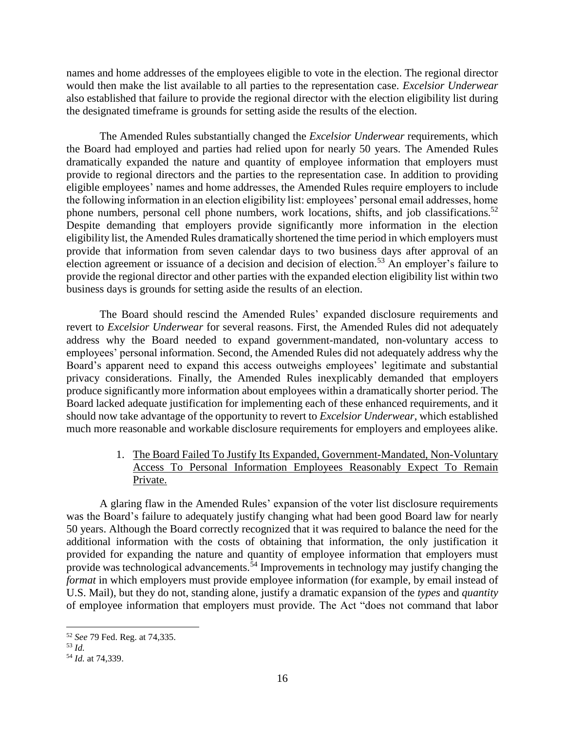names and home addresses of the employees eligible to vote in the election. The regional director would then make the list available to all parties to the representation case. *Excelsior Underwear*  also established that failure to provide the regional director with the election eligibility list during the designated timeframe is grounds for setting aside the results of the election.

The Amended Rules substantially changed the *Excelsior Underwear* requirements, which the Board had employed and parties had relied upon for nearly 50 years. The Amended Rules dramatically expanded the nature and quantity of employee information that employers must provide to regional directors and the parties to the representation case. In addition to providing eligible employees' names and home addresses, the Amended Rules require employers to include the following information in an election eligibility list: employees' personal email addresses, home phone numbers, personal cell phone numbers, work locations, shifts, and job classifications.<sup>52</sup> Despite demanding that employers provide significantly more information in the election eligibility list, the Amended Rules dramatically shortened the time period in which employers must provide that information from seven calendar days to two business days after approval of an election agreement or issuance of a decision and decision of election.<sup>53</sup> An employer's failure to provide the regional director and other parties with the expanded election eligibility list within two business days is grounds for setting aside the results of an election.

The Board should rescind the Amended Rules' expanded disclosure requirements and revert to *Excelsior Underwear* for several reasons. First, the Amended Rules did not adequately address why the Board needed to expand government-mandated, non-voluntary access to employees' personal information. Second, the Amended Rules did not adequately address why the Board's apparent need to expand this access outweighs employees' legitimate and substantial privacy considerations. Finally, the Amended Rules inexplicably demanded that employers produce significantly more information about employees within a dramatically shorter period. The Board lacked adequate justification for implementing each of these enhanced requirements, and it should now take advantage of the opportunity to revert to *Excelsior Underwear*, which established much more reasonable and workable disclosure requirements for employers and employees alike.

## 1. The Board Failed To Justify Its Expanded, Government-Mandated, Non-Voluntary Access To Personal Information Employees Reasonably Expect To Remain Private.

A glaring flaw in the Amended Rules' expansion of the voter list disclosure requirements was the Board's failure to adequately justify changing what had been good Board law for nearly 50 years. Although the Board correctly recognized that it was required to balance the need for the additional information with the costs of obtaining that information, the only justification it provided for expanding the nature and quantity of employee information that employers must provide was technological advancements.<sup>54</sup> Improvements in technology may justify changing the *format* in which employers must provide employee information (for example, by email instead of U.S. Mail), but they do not, standing alone, justify a dramatic expansion of the *types* and *quantity*  of employee information that employers must provide. The Act "does not command that labor

 $\overline{\phantom{a}}$ <sup>52</sup> *See* 79 Fed. Reg. at 74,335.

<sup>53</sup> *Id.*

<sup>54</sup> *Id.* at 74,339.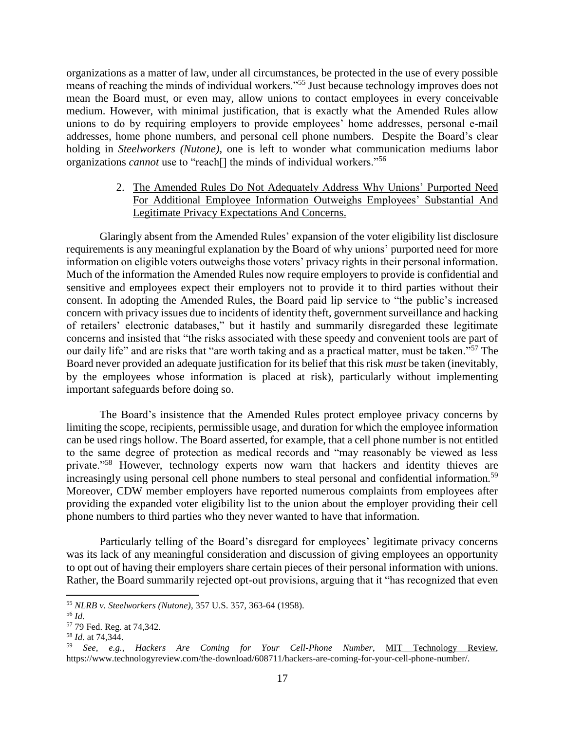organizations as a matter of law, under all circumstances, be protected in the use of every possible means of reaching the minds of individual workers."<sup>55</sup> Just because technology improves does not mean the Board must, or even may, allow unions to contact employees in every conceivable medium. However, with minimal justification, that is exactly what the Amended Rules allow unions to do by requiring employers to provide employees' home addresses, personal e-mail addresses, home phone numbers, and personal cell phone numbers. Despite the Board's clear holding in *Steelworkers (Nutone)*, one is left to wonder what communication mediums labor organizations *cannot* use to "reach[] the minds of individual workers."<sup>56</sup>

## 2. The Amended Rules Do Not Adequately Address Why Unions' Purported Need For Additional Employee Information Outweighs Employees' Substantial And Legitimate Privacy Expectations And Concerns.

Glaringly absent from the Amended Rules' expansion of the voter eligibility list disclosure requirements is any meaningful explanation by the Board of why unions' purported need for more information on eligible voters outweighs those voters' privacy rights in their personal information. Much of the information the Amended Rules now require employers to provide is confidential and sensitive and employees expect their employers not to provide it to third parties without their consent. In adopting the Amended Rules, the Board paid lip service to "the public's increased concern with privacy issues due to incidents of identity theft, government surveillance and hacking of retailers' electronic databases," but it hastily and summarily disregarded these legitimate concerns and insisted that "the risks associated with these speedy and convenient tools are part of our daily life" and are risks that "are worth taking and as a practical matter, must be taken."<sup>57</sup> The Board never provided an adequate justification for its belief that this risk *must* be taken (inevitably, by the employees whose information is placed at risk), particularly without implementing important safeguards before doing so.

The Board's insistence that the Amended Rules protect employee privacy concerns by limiting the scope, recipients, permissible usage, and duration for which the employee information can be used rings hollow. The Board asserted, for example, that a cell phone number is not entitled to the same degree of protection as medical records and "may reasonably be viewed as less private."<sup>58</sup> However, technology experts now warn that hackers and identity thieves are increasingly using personal cell phone numbers to steal personal and confidential information.<sup>59</sup> Moreover, CDW member employers have reported numerous complaints from employees after providing the expanded voter eligibility list to the union about the employer providing their cell phone numbers to third parties who they never wanted to have that information.

Particularly telling of the Board's disregard for employees' legitimate privacy concerns was its lack of any meaningful consideration and discussion of giving employees an opportunity to opt out of having their employers share certain pieces of their personal information with unions. Rather, the Board summarily rejected opt-out provisions, arguing that it "has recognized that even

<sup>55</sup> *NLRB v. Steelworkers (Nutone)*, 357 U.S. 357, 363-64 (1958).

<sup>56</sup> *Id.*

<sup>57</sup> 79 Fed. Reg. at 74,342.

<sup>58</sup> *Id.* at 74,344.

<sup>59</sup> *See, e.g.*, *Hackers Are Coming for Your Cell-Phone Number*, MIT Technology Review, https://www.technologyreview.com/the-download/608711/hackers-are-coming-for-your-cell-phone-number/.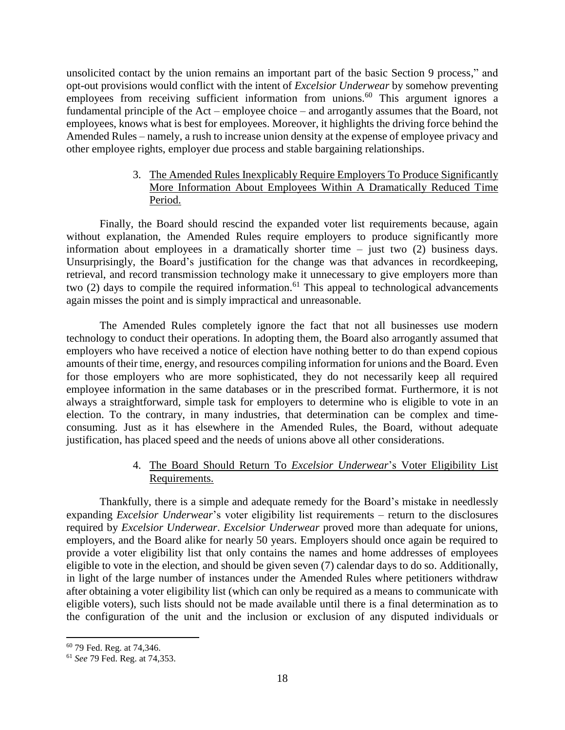unsolicited contact by the union remains an important part of the basic Section 9 process," and opt-out provisions would conflict with the intent of *Excelsior Underwear* by somehow preventing employees from receiving sufficient information from unions.<sup>60</sup> This argument ignores a fundamental principle of the Act – employee choice – and arrogantly assumes that the Board, not employees, knows what is best for employees. Moreover, it highlights the driving force behind the Amended Rules – namely, a rush to increase union density at the expense of employee privacy and other employee rights, employer due process and stable bargaining relationships.

## 3. The Amended Rules Inexplicably Require Employers To Produce Significantly More Information About Employees Within A Dramatically Reduced Time Period.

Finally, the Board should rescind the expanded voter list requirements because, again without explanation, the Amended Rules require employers to produce significantly more information about employees in a dramatically shorter time – just two (2) business days. Unsurprisingly, the Board's justification for the change was that advances in recordkeeping, retrieval, and record transmission technology make it unnecessary to give employers more than two (2) days to compile the required information.<sup>61</sup> This appeal to technological advancements again misses the point and is simply impractical and unreasonable.

The Amended Rules completely ignore the fact that not all businesses use modern technology to conduct their operations. In adopting them, the Board also arrogantly assumed that employers who have received a notice of election have nothing better to do than expend copious amounts of their time, energy, and resources compiling information for unions and the Board. Even for those employers who are more sophisticated, they do not necessarily keep all required employee information in the same databases or in the prescribed format. Furthermore, it is not always a straightforward, simple task for employers to determine who is eligible to vote in an election. To the contrary, in many industries, that determination can be complex and timeconsuming. Just as it has elsewhere in the Amended Rules, the Board, without adequate justification, has placed speed and the needs of unions above all other considerations.

## 4. The Board Should Return To *Excelsior Underwear*'s Voter Eligibility List Requirements.

Thankfully, there is a simple and adequate remedy for the Board's mistake in needlessly expanding *Excelsior Underwear*'s voter eligibility list requirements – return to the disclosures required by *Excelsior Underwear*. *Excelsior Underwear* proved more than adequate for unions, employers, and the Board alike for nearly 50 years. Employers should once again be required to provide a voter eligibility list that only contains the names and home addresses of employees eligible to vote in the election, and should be given seven (7) calendar days to do so. Additionally, in light of the large number of instances under the Amended Rules where petitioners withdraw after obtaining a voter eligibility list (which can only be required as a means to communicate with eligible voters), such lists should not be made available until there is a final determination as to the configuration of the unit and the inclusion or exclusion of any disputed individuals or

<sup>60</sup> 79 Fed. Reg. at 74,346.

<sup>61</sup> *See* 79 Fed. Reg. at 74,353.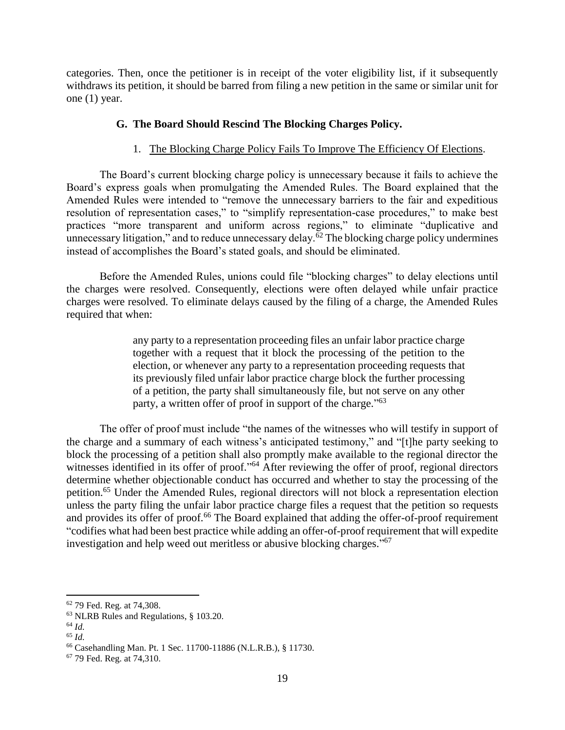categories. Then, once the petitioner is in receipt of the voter eligibility list, if it subsequently withdraws its petition, it should be barred from filing a new petition in the same or similar unit for one (1) year.

### **G. The Board Should Rescind The Blocking Charges Policy.**

### 1. The Blocking Charge Policy Fails To Improve The Efficiency Of Elections.

The Board's current blocking charge policy is unnecessary because it fails to achieve the Board's express goals when promulgating the Amended Rules. The Board explained that the Amended Rules were intended to "remove the unnecessary barriers to the fair and expeditious resolution of representation cases," to "simplify representation-case procedures," to make best practices "more transparent and uniform across regions," to eliminate "duplicative and unnecessary litigation," and to reduce unnecessary delay. $\overline{6}^2$  The blocking charge policy undermines instead of accomplishes the Board's stated goals, and should be eliminated.

Before the Amended Rules, unions could file "blocking charges" to delay elections until the charges were resolved. Consequently, elections were often delayed while unfair practice charges were resolved. To eliminate delays caused by the filing of a charge, the Amended Rules required that when:

> any party to a representation proceeding files an unfair labor practice charge together with a request that it block the processing of the petition to the election, or whenever any party to a representation proceeding requests that its previously filed unfair labor practice charge block the further processing of a petition, the party shall simultaneously file, but not serve on any other party, a written offer of proof in support of the charge."<sup>63</sup>

The offer of proof must include "the names of the witnesses who will testify in support of the charge and a summary of each witness's anticipated testimony," and "[t]he party seeking to block the processing of a petition shall also promptly make available to the regional director the witnesses identified in its offer of proof."<sup>64</sup> After reviewing the offer of proof, regional directors determine whether objectionable conduct has occurred and whether to stay the processing of the petition.<sup>65</sup> Under the Amended Rules, regional directors will not block a representation election unless the party filing the unfair labor practice charge files a request that the petition so requests and provides its offer of proof.<sup>66</sup> The Board explained that adding the offer-of-proof requirement "codifies what had been best practice while adding an offer-of-proof requirement that will expedite investigation and help weed out meritless or abusive blocking charges." 67

<sup>62</sup> 79 Fed. Reg. at 74,308.

<sup>63</sup> NLRB Rules and Regulations, § 103.20.

<sup>64</sup> *Id.*

<sup>65</sup> *Id.*

<sup>66</sup> Casehandling Man. Pt. 1 Sec. 11700-11886 (N.L.R.B.), § 11730.

<sup>67</sup> 79 Fed. Reg. at 74,310.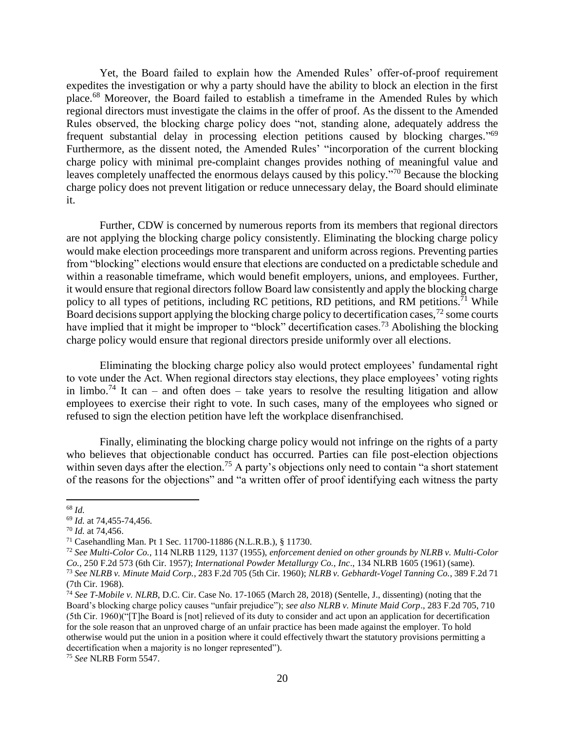Yet, the Board failed to explain how the Amended Rules' offer-of-proof requirement expedites the investigation or why a party should have the ability to block an election in the first place. <sup>68</sup> Moreover, the Board failed to establish a timeframe in the Amended Rules by which regional directors must investigate the claims in the offer of proof. As the dissent to the Amended Rules observed, the blocking charge policy does "not, standing alone, adequately address the frequent substantial delay in processing election petitions caused by blocking charges."<sup>69</sup> Furthermore, as the dissent noted, the Amended Rules' "incorporation of the current blocking charge policy with minimal pre-complaint changes provides nothing of meaningful value and leaves completely unaffected the enormous delays caused by this policy."<sup>70</sup> Because the blocking charge policy does not prevent litigation or reduce unnecessary delay, the Board should eliminate it.

Further, CDW is concerned by numerous reports from its members that regional directors are not applying the blocking charge policy consistently. Eliminating the blocking charge policy would make election proceedings more transparent and uniform across regions. Preventing parties from "blocking" elections would ensure that elections are conducted on a predictable schedule and within a reasonable timeframe, which would benefit employers, unions, and employees. Further, it would ensure that regional directors follow Board law consistently and apply the blocking charge policy to all types of petitions, including RC petitions, RD petitions, and RM petitions.<sup>71</sup> While Board decisions support applying the blocking charge policy to decertification cases,  $72$  some courts have implied that it might be improper to "block" decertification cases.<sup>73</sup> Abolishing the blocking charge policy would ensure that regional directors preside uniformly over all elections.

Eliminating the blocking charge policy also would protect employees' fundamental right to vote under the Act. When regional directors stay elections, they place employees' voting rights in limbo.<sup>74</sup> It can – and often does – take years to resolve the resulting litigation and allow employees to exercise their right to vote. In such cases, many of the employees who signed or refused to sign the election petition have left the workplace disenfranchised.

Finally, eliminating the blocking charge policy would not infringe on the rights of a party who believes that objectionable conduct has occurred. Parties can file post-election objections within seven days after the election.<sup>75</sup> A party's objections only need to contain "a short statement" of the reasons for the objections" and "a written offer of proof identifying each witness the party

<sup>68</sup> *Id.*

<sup>69</sup> *Id.* at 74,455-74,456.

<sup>70</sup> *Id.* at 74,456.

<sup>71</sup> Casehandling Man. Pt 1 Sec. 11700-11886 (N.L.R.B.), § 11730.

<sup>72</sup> *See Multi-Color Co.*, 114 NLRB 1129, 1137 (1955), *enforcement denied on other grounds by NLRB v. Multi-Color Co.*, 250 F.2d 573 (6th Cir. 1957); *International Powder Metallurgy Co., Inc*., 134 NLRB 1605 (1961) (same). <sup>73</sup> *See NLRB v. Minute Maid Corp.*, 283 F.2d 705 (5th Cir. 1960); *NLRB v. Gebhardt-Vogel Tanning Co.*, 389 F.2d 71

<sup>(7</sup>th Cir. 1968).

<sup>74</sup> *See T-Mobile v. NLRB*, D.C. Cir. Case No. 17-1065 (March 28, 2018) (Sentelle, J., dissenting) (noting that the Board's blocking charge policy causes "unfair prejudice"); *see also NLRB v. Minute Maid Corp*., 283 F.2d 705, 710 (5th Cir. 1960)("[T]he Board is [not] relieved of its duty to consider and act upon an application for decertification for the sole reason that an unproved charge of an unfair practice has been made against the employer. To hold otherwise would put the union in a position where it could effectively thwart the statutory provisions permitting a decertification when a majority is no longer represented").

<sup>75</sup> *See* NLRB Form 5547.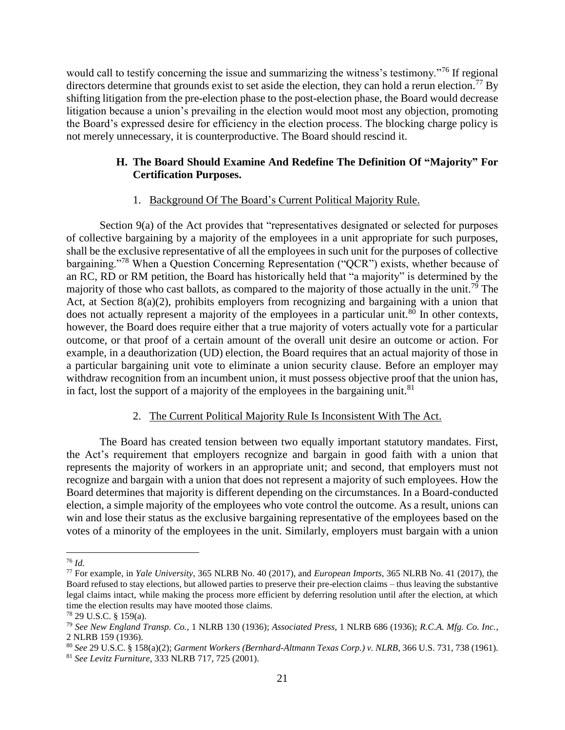would call to testify concerning the issue and summarizing the witness's testimony."<sup>76</sup> If regional directors determine that grounds exist to set aside the election, they can hold a rerun election.<sup>77</sup> By shifting litigation from the pre-election phase to the post-election phase, the Board would decrease litigation because a union's prevailing in the election would moot most any objection, promoting the Board's expressed desire for efficiency in the election process. The blocking charge policy is not merely unnecessary, it is counterproductive. The Board should rescind it.

# **H. The Board Should Examine And Redefine The Definition Of "Majority" For Certification Purposes.**

## 1. Background Of The Board's Current Political Majority Rule.

Section 9(a) of the Act provides that "representatives designated or selected for purposes of collective bargaining by a majority of the employees in a unit appropriate for such purposes, shall be the exclusive representative of all the employees in such unit for the purposes of collective bargaining."<sup>78</sup> When a Question Concerning Representation ("QCR") exists, whether because of an RC, RD or RM petition, the Board has historically held that "a majority" is determined by the majority of those who cast ballots, as compared to the majority of those actually in the unit.<sup>79</sup> The Act, at Section 8(a)(2), prohibits employers from recognizing and bargaining with a union that does not actually represent a majority of the employees in a particular unit. $80$  In other contexts, however, the Board does require either that a true majority of voters actually vote for a particular outcome, or that proof of a certain amount of the overall unit desire an outcome or action. For example, in a deauthorization (UD) election, the Board requires that an actual majority of those in a particular bargaining unit vote to eliminate a union security clause. Before an employer may withdraw recognition from an incumbent union, it must possess objective proof that the union has, in fact, lost the support of a majority of the employees in the bargaining unit. $81$ 

# 2. The Current Political Majority Rule Is Inconsistent With The Act.

The Board has created tension between two equally important statutory mandates. First, the Act's requirement that employers recognize and bargain in good faith with a union that represents the majority of workers in an appropriate unit; and second, that employers must not recognize and bargain with a union that does not represent a majority of such employees. How the Board determines that majority is different depending on the circumstances. In a Board-conducted election, a simple majority of the employees who vote control the outcome. As a result, unions can win and lose their status as the exclusive bargaining representative of the employees based on the votes of a minority of the employees in the unit. Similarly, employers must bargain with a union

 $\overline{\phantom{a}}$ <sup>76</sup> *Id.*

<sup>77</sup> For example, in *Yale University*, 365 NLRB No. 40 (2017), and *European Imports*, 365 NLRB No. 41 (2017), the Board refused to stay elections, but allowed parties to preserve their pre-election claims – thus leaving the substantive legal claims intact, while making the process more efficient by deferring resolution until after the election, at which time the election results may have mooted those claims.

<sup>78</sup> 29 U.S.C. § 159(a).

<sup>79</sup> *See New England Transp. Co.*, 1 NLRB 130 (1936); *Associated Press*, 1 NLRB 686 (1936); *R.C.A. Mfg. Co. Inc.*, 2 NLRB 159 (1936).

<sup>80</sup> *See* 29 U.S.C. § 158(a)(2); *Garment Workers (Bernhard-Altmann Texas Corp.) v. NLRB*, 366 U.S. 731, 738 (1961).

<sup>81</sup> *See Levitz Furniture*, 333 NLRB 717, 725 (2001).